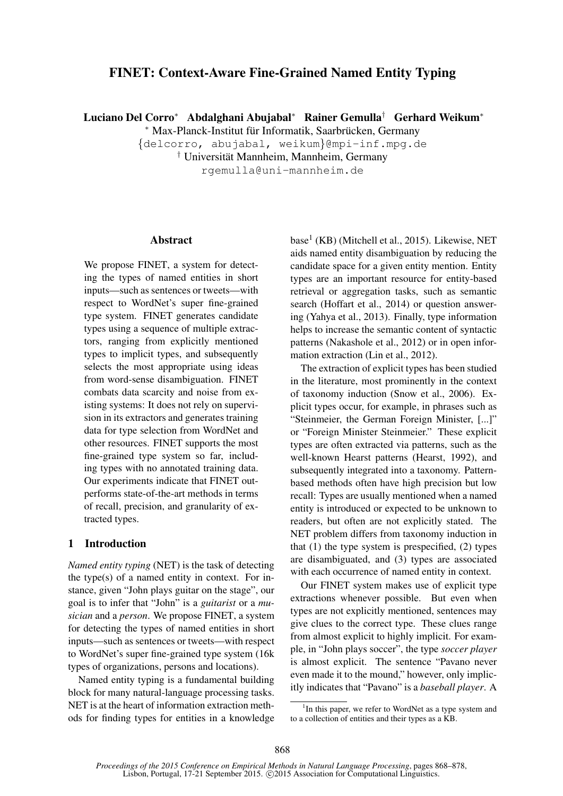# FINET: Context-Aware Fine-Grained Named Entity Typing

Luciano Del Corro<sup>∗</sup> Abdalghani Abujabal<sup>∗</sup> Rainer Gemulla† Gerhard Weikum<sup>∗</sup>

\* Max-Planck-Institut für Informatik, Saarbrücken, Germany

{delcorro, abujabal, weikum}@mpi-inf.mpg.de

<sup>†</sup> Universität Mannheim, Mannheim, Germany

rgemulla@uni-mannheim.de

#### **Abstract**

We propose FINET, a system for detecting the types of named entities in short inputs—such as sentences or tweets—with respect to WordNet's super fine-grained type system. FINET generates candidate types using a sequence of multiple extractors, ranging from explicitly mentioned types to implicit types, and subsequently selects the most appropriate using ideas from word-sense disambiguation. FINET combats data scarcity and noise from existing systems: It does not rely on supervision in its extractors and generates training data for type selection from WordNet and other resources. FINET supports the most fine-grained type system so far, including types with no annotated training data. Our experiments indicate that FINET outperforms state-of-the-art methods in terms of recall, precision, and granularity of extracted types.

### 1 Introduction

*Named entity typing* (NET) is the task of detecting the type(s) of a named entity in context. For instance, given "John plays guitar on the stage", our goal is to infer that "John" is a *guitarist* or a *musician* and a *person*. We propose FINET, a system for detecting the types of named entities in short inputs—such as sentences or tweets—with respect to WordNet's super fine-grained type system (16k types of organizations, persons and locations).

Named entity typing is a fundamental building block for many natural-language processing tasks. NET is at the heart of information extraction methods for finding types for entities in a knowledge

base<sup>1</sup> (KB) (Mitchell et al., 2015). Likewise, NET aids named entity disambiguation by reducing the candidate space for a given entity mention. Entity types are an important resource for entity-based retrieval or aggregation tasks, such as semantic search (Hoffart et al., 2014) or question answering (Yahya et al., 2013). Finally, type information helps to increase the semantic content of syntactic patterns (Nakashole et al., 2012) or in open information extraction (Lin et al., 2012).

The extraction of explicit types has been studied in the literature, most prominently in the context of taxonomy induction (Snow et al., 2006). Explicit types occur, for example, in phrases such as "Steinmeier, the German Foreign Minister, [...]" or "Foreign Minister Steinmeier." These explicit types are often extracted via patterns, such as the well-known Hearst patterns (Hearst, 1992), and subsequently integrated into a taxonomy. Patternbased methods often have high precision but low recall: Types are usually mentioned when a named entity is introduced or expected to be unknown to readers, but often are not explicitly stated. The NET problem differs from taxonomy induction in that  $(1)$  the type system is prespecified,  $(2)$  types are disambiguated, and (3) types are associated with each occurrence of named entity in context.

Our FINET system makes use of explicit type extractions whenever possible. But even when types are not explicitly mentioned, sentences may give clues to the correct type. These clues range from almost explicit to highly implicit. For example, in "John plays soccer", the type *soccer player* is almost explicit. The sentence "Pavano never even made it to the mound," however, only implicitly indicates that "Pavano" is a *baseball player*. A

<sup>&</sup>lt;sup>1</sup>In this paper, we refer to WordNet as a type system and to a collection of entities and their types as a KB.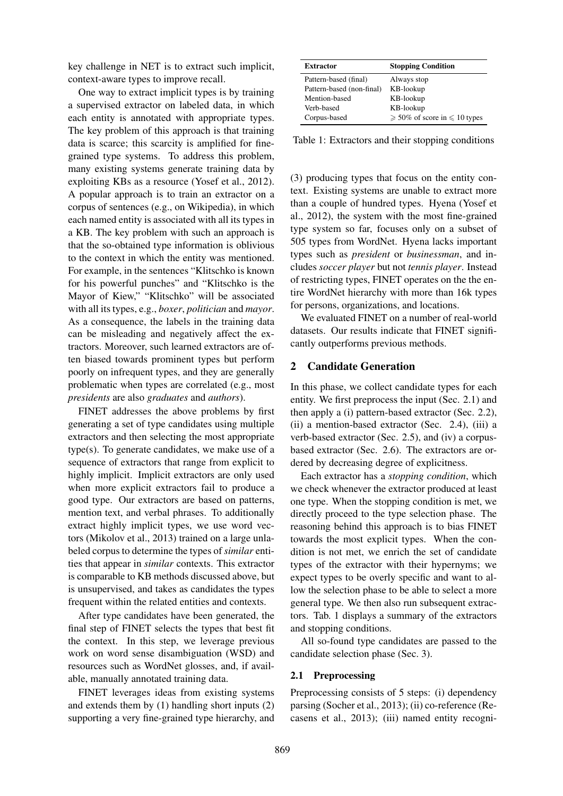key challenge in NET is to extract such implicit, context-aware types to improve recall.

One way to extract implicit types is by training a supervised extractor on labeled data, in which each entity is annotated with appropriate types. The key problem of this approach is that training data is scarce; this scarcity is amplified for finegrained type systems. To address this problem, many existing systems generate training data by exploiting KBs as a resource (Yosef et al., 2012). A popular approach is to train an extractor on a corpus of sentences (e.g., on Wikipedia), in which each named entity is associated with all its types in a KB. The key problem with such an approach is that the so-obtained type information is oblivious to the context in which the entity was mentioned. For example, in the sentences "Klitschko is known for his powerful punches" and "Klitschko is the Mayor of Kiew," "Klitschko" will be associated with all its types, e.g., *boxer*, *politician* and *mayor*. As a consequence, the labels in the training data can be misleading and negatively affect the extractors. Moreover, such learned extractors are often biased towards prominent types but perform poorly on infrequent types, and they are generally problematic when types are correlated (e.g., most *presidents* are also *graduates* and *authors*).

FINET addresses the above problems by first generating a set of type candidates using multiple extractors and then selecting the most appropriate type(s). To generate candidates, we make use of a sequence of extractors that range from explicit to highly implicit. Implicit extractors are only used when more explicit extractors fail to produce a good type. Our extractors are based on patterns, mention text, and verbal phrases. To additionally extract highly implicit types, we use word vectors (Mikolov et al., 2013) trained on a large unlabeled corpus to determine the types of*similar* entities that appear in *similar* contexts. This extractor is comparable to KB methods discussed above, but is unsupervised, and takes as candidates the types frequent within the related entities and contexts.

After type candidates have been generated, the final step of FINET selects the types that best fit the context. In this step, we leverage previous work on word sense disambiguation (WSD) and resources such as WordNet glosses, and, if available, manually annotated training data.

FINET leverages ideas from existing systems and extends them by (1) handling short inputs (2) supporting a very fine-grained type hierarchy, and

| <b>Extractor</b>          | <b>Stopping Condition</b>               |
|---------------------------|-----------------------------------------|
| Pattern-based (final)     | Always stop                             |
| Pattern-based (non-final) | KB-lookup                               |
| Mention-based             | KB-lookup                               |
| Verb-based                | KB-lookup                               |
| Corpus-based              | $\geq 50\%$ of score in $\leq 10$ types |

Table 1: Extractors and their stopping conditions

(3) producing types that focus on the entity context. Existing systems are unable to extract more than a couple of hundred types. Hyena (Yosef et al., 2012), the system with the most fine-grained type system so far, focuses only on a subset of 505 types from WordNet. Hyena lacks important types such as *president* or *businessman*, and includes *soccer player* but not *tennis player*. Instead of restricting types, FINET operates on the the entire WordNet hierarchy with more than 16k types for persons, organizations, and locations.

We evaluated FINET on a number of real-world datasets. Our results indicate that FINET significantly outperforms previous methods.

### 2 Candidate Generation

In this phase, we collect candidate types for each entity. We first preprocess the input (Sec. 2.1) and then apply a (i) pattern-based extractor (Sec. 2.2), (ii) a mention-based extractor (Sec. 2.4), (iii) a verb-based extractor (Sec. 2.5), and (iv) a corpusbased extractor (Sec. 2.6). The extractors are ordered by decreasing degree of explicitness.

Each extractor has a *stopping condition*, which we check whenever the extractor produced at least one type. When the stopping condition is met, we directly proceed to the type selection phase. The reasoning behind this approach is to bias FINET towards the most explicit types. When the condition is not met, we enrich the set of candidate types of the extractor with their hypernyms; we expect types to be overly specific and want to allow the selection phase to be able to select a more general type. We then also run subsequent extractors. Tab. 1 displays a summary of the extractors and stopping conditions.

All so-found type candidates are passed to the candidate selection phase (Sec. 3).

#### 2.1 Preprocessing

Preprocessing consists of 5 steps: (i) dependency parsing (Socher et al., 2013); (ii) co-reference (Recasens et al., 2013); (iii) named entity recogni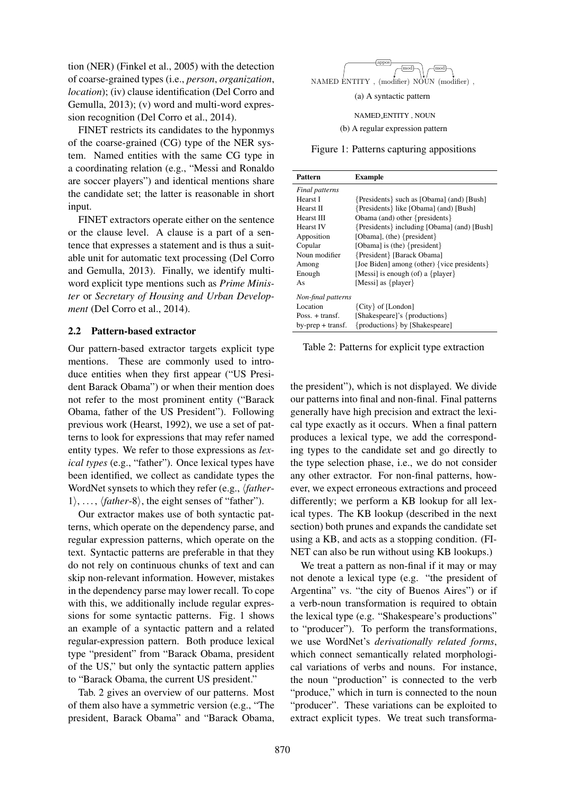tion (NER) (Finkel et al., 2005) with the detection of coarse-grained types (i.e., *person*, *organization*, *location*); (iv) clause identification (Del Corro and Gemulla, 2013); (v) word and multi-word expression recognition (Del Corro et al., 2014).

FINET restricts its candidates to the hyponmys of the coarse-grained (CG) type of the NER system. Named entities with the same CG type in a coordinating relation (e.g., "Messi and Ronaldo are soccer players") and identical mentions share the candidate set; the latter is reasonable in short input.

FINET extractors operate either on the sentence or the clause level. A clause is a part of a sentence that expresses a statement and is thus a suitable unit for automatic text processing (Del Corro and Gemulla, 2013). Finally, we identify multiword explicit type mentions such as *Prime Minister* or *Secretary of Housing and Urban Development* (Del Corro et al., 2014).

### 2.2 Pattern-based extractor

Our pattern-based extractor targets explicit type mentions. These are commonly used to introduce entities when they first appear ("US President Barack Obama") or when their mention does not refer to the most prominent entity ("Barack Obama, father of the US President"). Following previous work (Hearst, 1992), we use a set of patterns to look for expressions that may refer named entity types. We refer to those expressions as *lexical types* (e.g., "father"). Once lexical types have been identified, we collect as candidate types the WordNet synsets to which they refer (e.g., *\father*- $1\rangle, \ldots, \langle father-8\rangle$ , the eight senses of "father").

Our extractor makes use of both syntactic patterns, which operate on the dependency parse, and regular expression patterns, which operate on the text. Syntactic patterns are preferable in that they do not rely on continuous chunks of text and can skip non-relevant information. However, mistakes in the dependency parse may lower recall. To cope with this, we additionally include regular expressions for some syntactic patterns. Fig. 1 shows an example of a syntactic pattern and a related regular-expression pattern. Both produce lexical type "president" from "Barack Obama, president of the US," but only the syntactic pattern applies to "Barack Obama, the current US president."

Tab. 2 gives an overview of our patterns. Most of them also have a symmetric version (e.g., "The president, Barack Obama" and "Barack Obama,



(a) A syntactic pattern

NAMED ENTITY , NOUN

(b) A regular expression pattern

Figure 1: Patterns capturing appositions

| Pattern                 | <b>Example</b>                                |
|-------------------------|-----------------------------------------------|
| Final patterns          |                                               |
| Hearst I                | {Presidents} such as [Obama] (and) [Bush]     |
| Hearst II               | {Presidents} like [Obama] (and) [Bush]        |
| Hearst III              | Obama (and) other { $presidents$ }            |
| <b>Hearst IV</b>        | {Presidents} including [Obama] (and) [Bush]   |
| Apposition              | [Obama], (the) $\{president\}$                |
| Copular                 | [Obama] is (the) ${president}$                |
| Noun modifier           | {President} [Barack Obama]                    |
| Among                   | [Joe Biden] among (other) { vice presidents } |
| Enough                  | [Messi] is enough (of) a $\{player\}$         |
| As                      | [Messi] as $\{player\}$                       |
| Non-final patterns      |                                               |
| Location                | ${City} of [London]$                          |
| $Poss_{t} + transf_{t}$ | [Shakespeare]'s {productions}                 |
| by-prep + transf.       | {productions} by [Shakespeare]                |

Table 2: Patterns for explicit type extraction

the president"), which is not displayed. We divide our patterns into final and non-final. Final patterns generally have high precision and extract the lexical type exactly as it occurs. When a final pattern produces a lexical type, we add the corresponding types to the candidate set and go directly to the type selection phase, i.e., we do not consider any other extractor. For non-final patterns, however, we expect erroneous extractions and proceed differently; we perform a KB lookup for all lexical types. The KB lookup (described in the next section) both prunes and expands the candidate set using a KB, and acts as a stopping condition. (FI-NET can also be run without using KB lookups.)

We treat a pattern as non-final if it may or may not denote a lexical type (e.g. "the president of Argentina" vs. "the city of Buenos Aires") or if a verb-noun transformation is required to obtain the lexical type (e.g. "Shakespeare's productions" to "producer"). To perform the transformations, we use WordNet's *derivationally related forms*, which connect semantically related morphological variations of verbs and nouns. For instance, the noun "production" is connected to the verb "produce," which in turn is connected to the noun "producer". These variations can be exploited to extract explicit types. We treat such transforma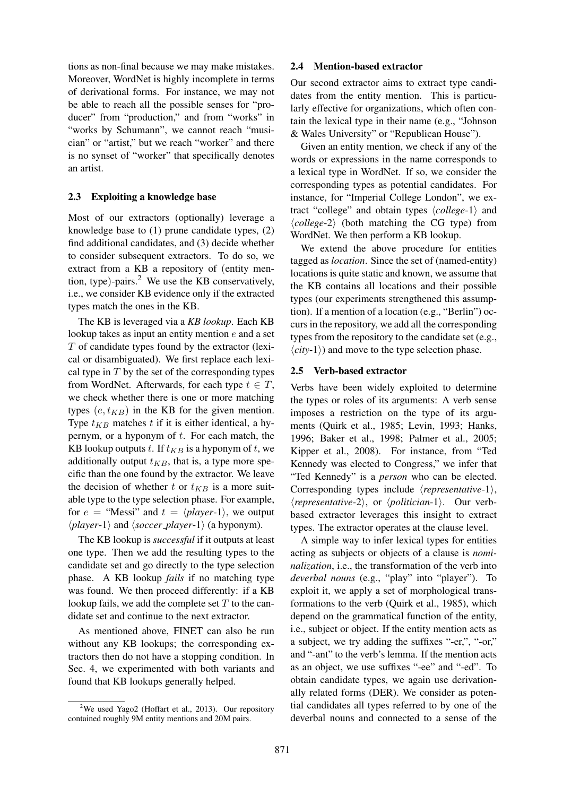tions as non-final because we may make mistakes. Moreover, WordNet is highly incomplete in terms of derivational forms. For instance, we may not be able to reach all the possible senses for "producer" from "production," and from "works" in "works by Schumann", we cannot reach "musician" or "artist," but we reach "worker" and there is no synset of "worker" that specifically denotes an artist.

### 2.3 Exploiting a knowledge base

Most of our extractors (optionally) leverage a knowledge base to (1) prune candidate types, (2) find additional candidates, and (3) decide whether to consider subsequent extractors. To do so, we extract from a KB a repository of (entity mention, type)-pairs.<sup>2</sup> We use the KB conservatively, i.e., we consider KB evidence only if the extracted types match the ones in the KB.

The KB is leveraged via a *KB lookup*. Each KB lookup takes as input an entity mention e and a set T of candidate types found by the extractor (lexical or disambiguated). We first replace each lexical type in  $T$  by the set of the corresponding types from WordNet. Afterwards, for each type  $t \in T$ , we check whether there is one or more matching types  $(e, t_{KR})$  in the KB for the given mention. Type  $t_{KB}$  matches t if it is either identical, a hypernym, or a hyponym of  $t$ . For each match, the KB lookup outputs t. If  $t_{KB}$  is a hyponym of t, we additionally output  $t_{KB}$ , that is, a type more specific than the one found by the extractor. We leave the decision of whether t or  $t_{KB}$  is a more suitable type to the type selection phase. For example, for  $e =$  "Messi" and  $t = \langle player-1 \rangle$ , we output  $\langle player-1\rangle$  and  $\langle soccer\_player-1\rangle$  (a hyponym).

The KB lookup is *successful* if it outputs at least one type. Then we add the resulting types to the candidate set and go directly to the type selection phase. A KB lookup *fails* if no matching type was found. We then proceed differently: if a KB lookup fails, we add the complete set  $T$  to the candidate set and continue to the next extractor.

As mentioned above, FINET can also be run without any KB lookups; the corresponding extractors then do not have a stopping condition. In Sec. 4, we experimented with both variants and found that KB lookups generally helped.

### 2.4 Mention-based extractor

Our second extractor aims to extract type candidates from the entity mention. This is particularly effective for organizations, which often contain the lexical type in their name (e.g., "Johnson & Wales University" or "Republican House").

Given an entity mention, we check if any of the words or expressions in the name corresponds to a lexical type in WordNet. If so, we consider the corresponding types as potential candidates. For instance, for "Imperial College London", we extract "college" and obtain types  $\langle college-1\rangle$  and  $\langle college-2 \rangle$  (both matching the CG type) from WordNet. We then perform a KB lookup.

We extend the above procedure for entities tagged as *location*. Since the set of (named-entity) locations is quite static and known, we assume that the KB contains all locations and their possible types (our experiments strengthened this assumption). If a mention of a location (e.g., "Berlin") occurs in the repository, we add all the corresponding types from the repository to the candidate set (e.g.,  $\langle city-1 \rangle$  and move to the type selection phase.

#### 2.5 Verb-based extractor

Verbs have been widely exploited to determine the types or roles of its arguments: A verb sense imposes a restriction on the type of its arguments (Quirk et al., 1985; Levin, 1993; Hanks, 1996; Baker et al., 1998; Palmer et al., 2005; Kipper et al., 2008). For instance, from "Ted Kennedy was elected to Congress," we infer that "Ted Kennedy" is a *person* who can be elected. Corresponding types include  $\langle representation.1 \rangle$ ,  $\langle \textit{representative-2} \rangle$ , or  $\langle \textit{politician-1} \rangle$ . Our verbbased extractor leverages this insight to extract types. The extractor operates at the clause level.

A simple way to infer lexical types for entities acting as subjects or objects of a clause is *nominalization*, i.e., the transformation of the verb into *deverbal nouns* (e.g., "play" into "player"). To exploit it, we apply a set of morphological transformations to the verb (Quirk et al., 1985), which depend on the grammatical function of the entity, i.e., subject or object. If the entity mention acts as a subject, we try adding the suffixes "-er,", "-or," and "-ant" to the verb's lemma. If the mention acts as an object, we use suffixes "-ee" and "-ed". To obtain candidate types, we again use derivationally related forms (DER). We consider as potential candidates all types referred to by one of the deverbal nouns and connected to a sense of the

 $2$ We used Yago2 (Hoffart et al., 2013). Our repository contained roughly 9M entity mentions and 20M pairs.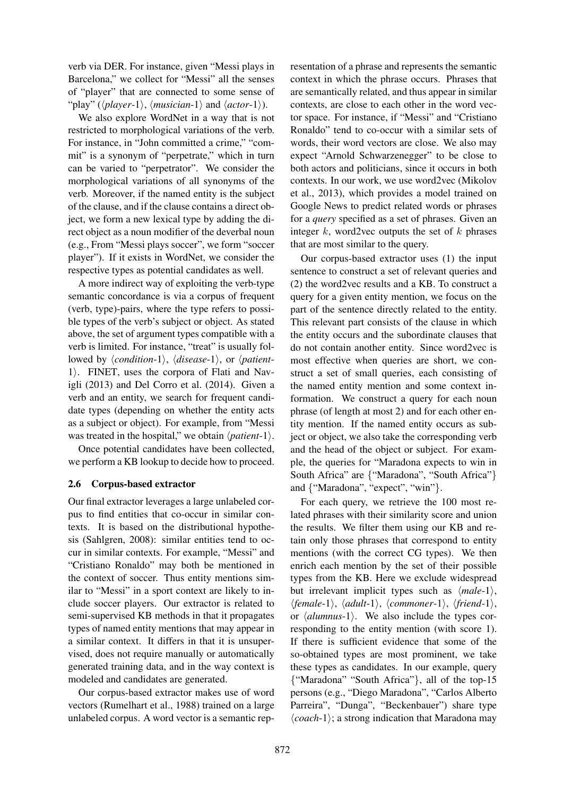verb via DER. For instance, given "Messi plays in Barcelona," we collect for "Messi" all the senses of "player" that are connected to some sense of "play" ( $\langle player-1\rangle$ ,  $\langle</sub>$ *(musician-1* $) and  $\langle actor-1\rangle$ ).$ 

We also explore WordNet in a way that is not restricted to morphological variations of the verb. For instance, in "John committed a crime," "commit" is a synonym of "perpetrate," which in turn can be varied to "perpetrator". We consider the morphological variations of all synonyms of the verb. Moreover, if the named entity is the subject of the clause, and if the clause contains a direct object, we form a new lexical type by adding the direct object as a noun modifier of the deverbal noun (e.g., From "Messi plays soccer", we form "soccer player"). If it exists in WordNet, we consider the respective types as potential candidates as well.

A more indirect way of exploiting the verb-type semantic concordance is via a corpus of frequent (verb, type)-pairs, where the type refers to possible types of the verb's subject or object. As stated above, the set of argument types compatible with a verb is limited. For instance, "treat" is usually followed by  $\langle condition-1\rangle$ ,  $\langle disease-1\rangle$ , or  $\langle patient 1$ . FINET, uses the corpora of Flati and Navigli (2013) and Del Corro et al. (2014). Given a verb and an entity, we search for frequent candidate types (depending on whether the entity acts as a subject or object). For example, from "Messi was treated in the hospital," we obtain  $\langle patient-1 \rangle$ .

Once potential candidates have been collected, we perform a KB lookup to decide how to proceed.

## 2.6 Corpus-based extractor

Our final extractor leverages a large unlabeled corpus to find entities that co-occur in similar contexts. It is based on the distributional hypothesis (Sahlgren, 2008): similar entities tend to occur in similar contexts. For example, "Messi" and "Cristiano Ronaldo" may both be mentioned in the context of soccer. Thus entity mentions similar to "Messi" in a sport context are likely to include soccer players. Our extractor is related to semi-supervised KB methods in that it propagates types of named entity mentions that may appear in a similar context. It differs in that it is unsupervised, does not require manually or automatically generated training data, and in the way context is modeled and candidates are generated.

Our corpus-based extractor makes use of word vectors (Rumelhart et al., 1988) trained on a large unlabeled corpus. A word vector is a semantic representation of a phrase and represents the semantic context in which the phrase occurs. Phrases that are semantically related, and thus appear in similar contexts, are close to each other in the word vector space. For instance, if "Messi" and "Cristiano Ronaldo" tend to co-occur with a similar sets of words, their word vectors are close. We also may expect "Arnold Schwarzenegger" to be close to both actors and politicians, since it occurs in both contexts. In our work, we use word2vec (Mikolov et al., 2013), which provides a model trained on Google News to predict related words or phrases for a *query* specified as a set of phrases. Given an integer  $k$ , word2vec outputs the set of  $k$  phrases that are most similar to the query.

Our corpus-based extractor uses (1) the input sentence to construct a set of relevant queries and (2) the word2vec results and a KB. To construct a query for a given entity mention, we focus on the part of the sentence directly related to the entity. This relevant part consists of the clause in which the entity occurs and the subordinate clauses that do not contain another entity. Since word2vec is most effective when queries are short, we construct a set of small queries, each consisting of the named entity mention and some context information. We construct a query for each noun phrase (of length at most 2) and for each other entity mention. If the named entity occurs as subject or object, we also take the corresponding verb and the head of the object or subject. For example, the queries for "Maradona expects to win in South Africa" are {"Maradona", "South Africa"} and {"Maradona", "expect", "win"}.

For each query, we retrieve the 100 most related phrases with their similarity score and union the results. We filter them using our KB and retain only those phrases that correspond to entity mentions (with the correct CG types). We then enrich each mention by the set of their possible types from the KB. Here we exclude widespread but irrelevant implicit types such as  $\langle male-1\rangle$ ,  $\langle female-1\rangle$ ,  $\langle adult-1\rangle$ ,  $\langle commoner-1\rangle$ ,  $\langle friend-1\rangle$ , or  $\langle$ *alumnus*-1 $\rangle$ . We also include the types corresponding to the entity mention (with score 1). If there is sufficient evidence that some of the so-obtained types are most prominent, we take these types as candidates. In our example, query {"Maradona" "South Africa"}, all of the top-15 persons (e.g., "Diego Maradona", "Carlos Alberto Parreira", "Dunga", "Beckenbauer") share type  $\langle coach-1\rangle$ ; a strong indication that Maradona may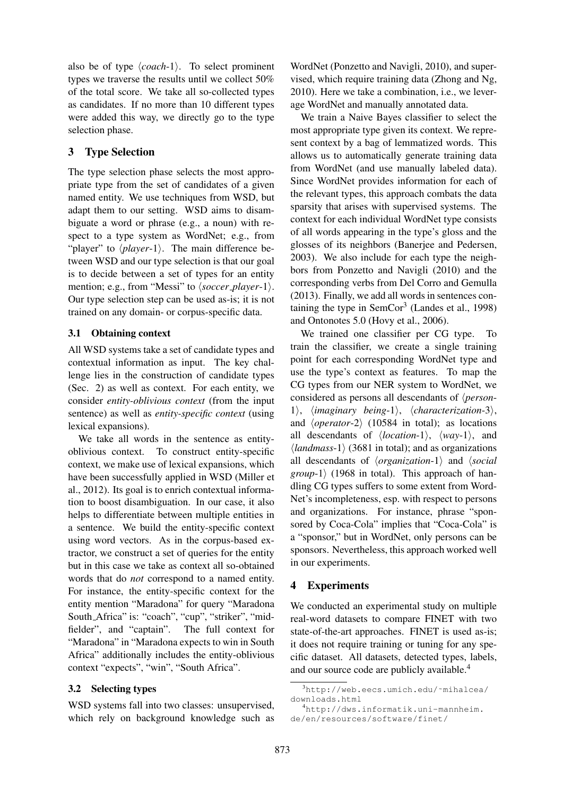also be of type  $\langle coach-1\rangle$ . To select prominent types we traverse the results until we collect 50% of the total score. We take all so-collected types as candidates. If no more than 10 different types were added this way, we directly go to the type selection phase.

# 3 Type Selection

The type selection phase selects the most appropriate type from the set of candidates of a given named entity. We use techniques from WSD, but adapt them to our setting. WSD aims to disambiguate a word or phrase (e.g., a noun) with respect to a type system as WordNet; e.g., from "player" to  $\langle player-1\rangle$ . The main difference between WSD and our type selection is that our goal is to decide between a set of types for an entity mention; e.g., from "Messi" to  $\langle \textit{soccer\_player-1} \rangle$ . Our type selection step can be used as-is; it is not trained on any domain- or corpus-specific data.

# 3.1 Obtaining context

All WSD systems take a set of candidate types and contextual information as input. The key challenge lies in the construction of candidate types (Sec. 2) as well as context. For each entity, we consider *entity-oblivious context* (from the input sentence) as well as *entity-specific context* (using lexical expansions).

We take all words in the sentence as entityoblivious context. To construct entity-specific context, we make use of lexical expansions, which have been successfully applied in WSD (Miller et al., 2012). Its goal is to enrich contextual information to boost disambiguation. In our case, it also helps to differentiate between multiple entities in a sentence. We build the entity-specific context using word vectors. As in the corpus-based extractor, we construct a set of queries for the entity but in this case we take as context all so-obtained words that do *not* correspond to a named entity. For instance, the entity-specific context for the entity mention "Maradona" for query "Maradona South Africa" is: "coach", "cup", "striker", "midfielder", and "captain". The full context for "Maradona" in "Maradona expects to win in South Africa" additionally includes the entity-oblivious context "expects", "win", "South Africa".

## 3.2 Selecting types

WSD systems fall into two classes: unsupervised, which rely on background knowledge such as

WordNet (Ponzetto and Navigli, 2010), and supervised, which require training data (Zhong and Ng, 2010). Here we take a combination, i.e., we leverage WordNet and manually annotated data.

We train a Naive Bayes classifier to select the most appropriate type given its context. We represent context by a bag of lemmatized words. This allows us to automatically generate training data from WordNet (and use manually labeled data). Since WordNet provides information for each of the relevant types, this approach combats the data sparsity that arises with supervised systems. The context for each individual WordNet type consists of all words appearing in the type's gloss and the glosses of its neighbors (Banerjee and Pedersen, 2003). We also include for each type the neighbors from Ponzetto and Navigli (2010) and the corresponding verbs from Del Corro and Gemulla (2013). Finally, we add all words in sentences containing the type in  $SemCor<sup>3</sup>$  (Landes et al., 1998) and Ontonotes 5.0 (Hovy et al., 2006).

We trained one classifier per CG type. To train the classifier, we create a single training point for each corresponding WordNet type and use the type's context as features. To map the CG types from our NER system to WordNet, we considered as persons all descendants of *\person*-1), *limaginary being-1*), *lcharacterization-3*), and  $\langle operator-2\rangle$  (10584 in total); as locations all descendants of  $\langle location-1 \rangle$ ,  $\langle way-1 \rangle$ , and  $\langle \text{landmass-1} \rangle$  (3681 in total); and as organizations all descendants of *(organization-1)* and *(social group*-1) (1968 in total). This approach of handling CG types suffers to some extent from Word-Net's incompleteness, esp. with respect to persons and organizations. For instance, phrase "sponsored by Coca-Cola" implies that "Coca-Cola" is a "sponsor," but in WordNet, only persons can be sponsors. Nevertheless, this approach worked well in our experiments.

# 4 Experiments

We conducted an experimental study on multiple real-word datasets to compare FINET with two state-of-the-art approaches. FINET is used as-is; it does not require training or tuning for any specific dataset. All datasets, detected types, labels, and our source code are publicly available.<sup>4</sup>

<sup>3</sup>http://web.eecs.umich.edu/˜mihalcea/ downloads.html

<sup>4</sup>http://dws.informatik.uni-mannheim. de/en/resources/software/finet/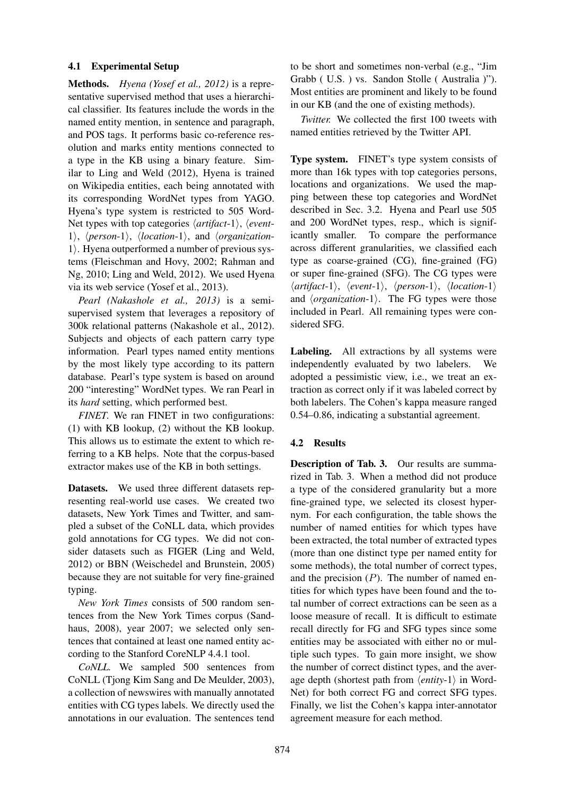## 4.1 Experimental Setup

Methods. *Hyena (Yosef et al., 2012)* is a representative supervised method that uses a hierarchical classifier. Its features include the words in the named entity mention, in sentence and paragraph, and POS tags. It performs basic co-reference resolution and marks entity mentions connected to a type in the KB using a binary feature. Similar to Ling and Weld (2012), Hyena is trained on Wikipedia entities, each being annotated with its corresponding WordNet types from YAGO. Hyena's type system is restricted to 505 Word-Net types with top categories  $\langle$ *artifact*-1 $\rangle$ ,  $\langle$ *event*-1),  $\langle person-1\rangle$ ,  $\langle location-1\rangle$ , and  $\langle organization-1\rangle$  $1$ . Hyena outperformed a number of previous systems (Fleischman and Hovy, 2002; Rahman and Ng, 2010; Ling and Weld, 2012). We used Hyena via its web service (Yosef et al., 2013).

*Pearl (Nakashole et al., 2013)* is a semisupervised system that leverages a repository of 300k relational patterns (Nakashole et al., 2012). Subjects and objects of each pattern carry type information. Pearl types named entity mentions by the most likely type according to its pattern database. Pearl's type system is based on around 200 "interesting" WordNet types. We ran Pearl in its *hard* setting, which performed best.

*FINET*. We ran FINET in two configurations: (1) with KB lookup, (2) without the KB lookup. This allows us to estimate the extent to which referring to a KB helps. Note that the corpus-based extractor makes use of the KB in both settings.

Datasets. We used three different datasets representing real-world use cases. We created two datasets, New York Times and Twitter, and sampled a subset of the CoNLL data, which provides gold annotations for CG types. We did not consider datasets such as FIGER (Ling and Weld, 2012) or BBN (Weischedel and Brunstein, 2005) because they are not suitable for very fine-grained typing.

*New York Times* consists of 500 random sentences from the New York Times corpus (Sandhaus, 2008), year 2007; we selected only sentences that contained at least one named entity according to the Stanford CoreNLP 4.4.1 tool.

*CoNLL.* We sampled 500 sentences from CoNLL (Tjong Kim Sang and De Meulder, 2003), a collection of newswires with manually annotated entities with CG types labels. We directly used the annotations in our evaluation. The sentences tend to be short and sometimes non-verbal (e.g., "Jim Grabb ( U.S. ) vs. Sandon Stolle ( Australia )"). Most entities are prominent and likely to be found in our KB (and the one of existing methods).

*Twitter.* We collected the first 100 tweets with named entities retrieved by the Twitter API.

Type system. FINET's type system consists of more than 16k types with top categories persons, locations and organizations. We used the mapping between these top categories and WordNet described in Sec. 3.2. Hyena and Pearl use 505 and 200 WordNet types, resp., which is significantly smaller. To compare the performance across different granularities, we classified each type as coarse-grained (CG), fine-grained (FG) or super fine-grained (SFG). The CG types were  $\langle$ artifact-1\,  $\langle$ event-1\,  $\langle$ person-1\,  $\langle$ location-1\ and  $\langle organization-1\rangle$ . The FG types were those included in Pearl. All remaining types were considered SFG.

Labeling. All extractions by all systems were independently evaluated by two labelers. We adopted a pessimistic view, i.e., we treat an extraction as correct only if it was labeled correct by both labelers. The Cohen's kappa measure ranged 0.54–0.86, indicating a substantial agreement.

## 4.2 Results

Description of Tab. 3. Our results are summarized in Tab. 3. When a method did not produce a type of the considered granularity but a more fine-grained type, we selected its closest hypernym. For each configuration, the table shows the number of named entities for which types have been extracted, the total number of extracted types (more than one distinct type per named entity for some methods), the total number of correct types, and the precision  $(P)$ . The number of named entities for which types have been found and the total number of correct extractions can be seen as a loose measure of recall. It is difficult to estimate recall directly for FG and SFG types since some entities may be associated with either no or multiple such types. To gain more insight, we show the number of correct distinct types, and the average depth (shortest path from  $\langle entity-1 \rangle$  in Word-Net) for both correct FG and correct SFG types. Finally, we list the Cohen's kappa inter-annotator agreement measure for each method.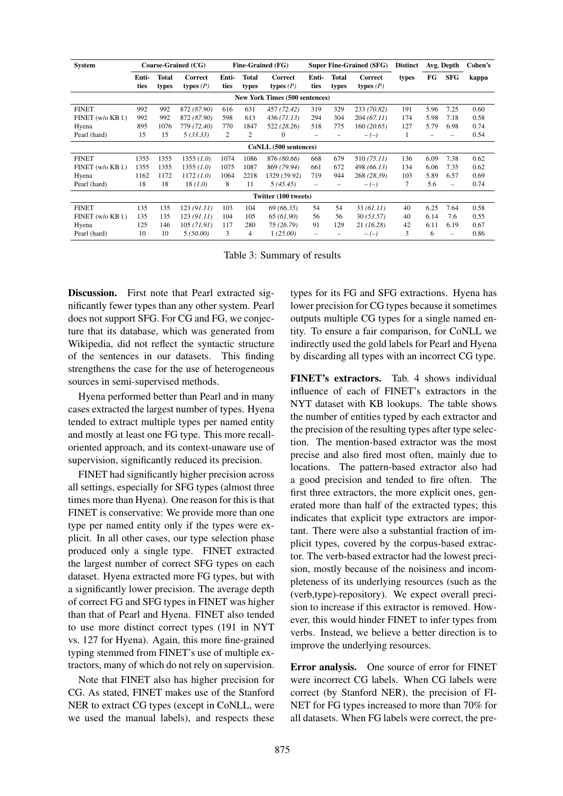| <b>System</b>     |               |                | Coarse-Grained (CG)    | Fine-Grained (FG)<br><b>Super Fine-Grained (SFG)</b> |                       |                                       |               | <b>Distinct</b>       | Avg. Depth             |       | Cohen's |                   |       |
|-------------------|---------------|----------------|------------------------|------------------------------------------------------|-----------------------|---------------------------------------|---------------|-----------------------|------------------------|-------|---------|-------------------|-------|
|                   | Enti-<br>ties | Total<br>types | Correct<br>types $(P)$ | Enti-<br>ties                                        | <b>Total</b><br>types | Correct<br>types $(P)$                | Enti-<br>ties | <b>Total</b><br>types | Correct<br>types $(P)$ | types | FG      | <b>SFG</b>        | kappa |
|                   |               |                |                        |                                                      |                       | <b>New York Times (500 sentences)</b> |               |                       |                        |       |         |                   |       |
| <b>FINET</b>      | 992           | 992            | 872 (87.90)            | 616                                                  | 631                   | 457 (72.42)                           | 319           | 329                   | 233 (70.82)            | 191   | 5.96    | 7.25              | 0.60  |
| FINET (w/o KB l.) | 992           | 992            | 872 (87.90)            | 598                                                  | 613                   | 436(71.13)                            | 294           | 304                   | 204 (67.11)            | 174   | 5.98    | 7.18              | 0.58  |
| Hyena             | 895           | 1076           | 779 (72.40)            | 770                                                  | 1847                  | 522 (28.26)                           | 518           | 775                   | 160 (20.65)            | 127   | 5.79    | 6.98              | 0.74  |
| Pearl (hard)      | 15            | 15             | 5(33.33)               | $\overline{2}$                                       | $\overline{c}$        | $\bf{0}$                              |               |                       | $-(-)$                 | ı.    |         |                   | 0.54  |
|                   |               |                |                        |                                                      |                       | CoNLL (500 sentences)                 |               |                       |                        |       |         |                   |       |
| <b>FINET</b>      | 1355          | 1355           | 1355 (1.0)             | 1074                                                 | 1086                  | 876 (80.66)                           | 668           | 679                   | 510(75.11)             | 136   | 6.09    | 7.38              | 0.62  |
| FINET (w/o KB l.) | 1355          | 1355           | 1355 (1.0)             | 1075                                                 | 1087                  | 869 (79.94)                           | 661           | 672                   | 498 (66.13)            | 134   | 6.06    | 7.35              | 0.62  |
| Hyena             | 1162          | 1172           | 1172 (1.0)             | 1064                                                 | 2218                  | 1329 (59.92)                          | 719           | 944                   | 268 (28.39)            | 103   | 5.89    | 6.57              | 0.69  |
| Pearl (hard)      | 18            | 18             | 18(1.0)                | 8                                                    | 11                    | 5(45.45)                              | -             |                       | $-(-)$                 | 7     | 5.6     | $\qquad \qquad -$ | 0.74  |
|                   |               |                |                        |                                                      |                       | Twitter (100 tweets)                  |               |                       |                        |       |         |                   |       |
| <b>FINET</b>      | 135           | 135            | 123(91.11)             | 103                                                  | 104                   | 69 (66.35)                            | 54            | 54                    | 33(61.11)              | 40    | 6.25    | 7.64              | 0.58  |
| FINET (w/o KB l.) | 135           | 135            | 123(91.11)             | 104                                                  | 105                   | 65 (61.90)                            | 56            | 56                    | 30 (53.57)             | 40    | 6.14    | 7.6               | 0.55  |
| Hyena             | 125           | 146            | 105(71.91)             | 117                                                  | 280                   | 75 (26.79)                            | 91            | 129                   | 21(16.28)              | 42    | 6.11    | 6.19              | 0.67  |
| Pearl (hard)      | 10            | 10             | 5(50.00)               | 3                                                    | $\overline{4}$        | 1(25.00)                              |               |                       | $-(-)$                 | 3     | 6       | -                 | 0.86  |

Table 3: Summary of results

Discussion. First note that Pearl extracted significantly fewer types than any other system. Pearl does not support SFG. For CG and FG, we conjecture that its database, which was generated from Wikipedia, did not reflect the syntactic structure of the sentences in our datasets. This finding strengthens the case for the use of heterogeneous sources in semi-supervised methods.

Hyena performed better than Pearl and in many cases extracted the largest number of types. Hyena tended to extract multiple types per named entity and mostly at least one FG type. This more recalloriented approach, and its context-unaware use of supervision, significantly reduced its precision.

FINET had significantly higher precision across all settings, especially for SFG types (almost three times more than Hyena). One reason for this is that FINET is conservative: We provide more than one type per named entity only if the types were explicit. In all other cases, our type selection phase produced only a single type. FINET extracted the largest number of correct SFG types on each dataset. Hyena extracted more FG types, but with a significantly lower precision. The average depth of correct FG and SFG types in FINET was higher than that of Pearl and Hyena. FINET also tended to use more distinct correct types (191 in NYT vs. 127 for Hyena). Again, this more fine-grained typing stemmed from FINET's use of multiple extractors, many of which do not rely on supervision.

Note that FINET also has higher precision for CG. As stated, FINET makes use of the Stanford NER to extract CG types (except in CoNLL, were we used the manual labels), and respects these types for its FG and SFG extractions. Hyena has lower precision for CG types because it sometimes outputs multiple CG types for a single named entity. To ensure a fair comparison, for CoNLL we indirectly used the gold labels for Pearl and Hyena by discarding all types with an incorrect CG type.

FINET's extractors. Tab. 4 shows individual influence of each of FINET's extractors in the NYT dataset with KB lookups. The table shows the number of entities typed by each extractor and the precision of the resulting types after type selection. The mention-based extractor was the most precise and also fired most often, mainly due to locations. The pattern-based extractor also had a good precision and tended to fire often. The first three extractors, the more explicit ones, generated more than half of the extracted types; this indicates that explicit type extractors are important. There were also a substantial fraction of implicit types, covered by the corpus-based extractor. The verb-based extractor had the lowest precision, mostly because of the noisiness and incompleteness of its underlying resources (such as the (verb,type)-repository). We expect overall precision to increase if this extractor is removed. However, this would hinder FINET to infer types from verbs. Instead, we believe a better direction is to improve the underlying resources.

Error analysis. One source of error for FINET were incorrect CG labels. When CG labels were correct (by Stanford NER), the precision of FI-NET for FG types increased to more than 70% for all datasets. When FG labels were correct, the pre-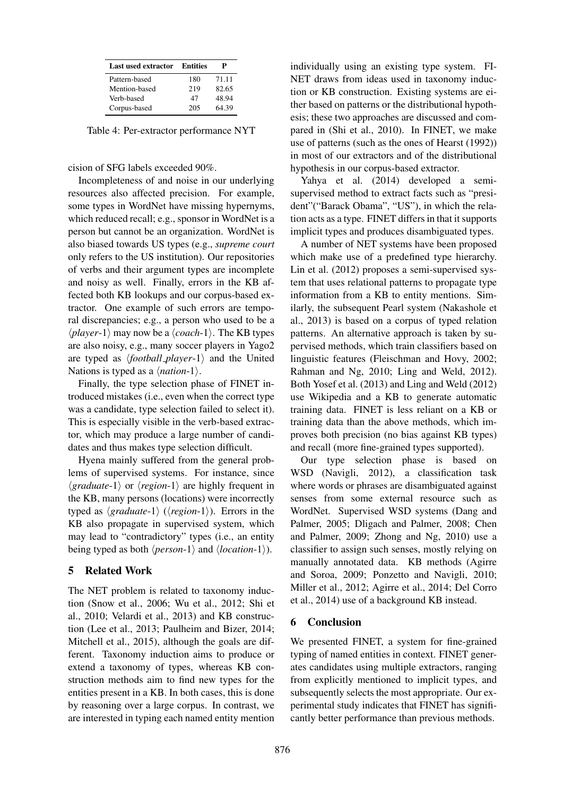| Last used extractor | Entities |       |
|---------------------|----------|-------|
| Pattern-based       | 180      | 71.11 |
| Mention-based       | 219      | 82.65 |
| Verb-based          | 47       | 48.94 |
| Corpus-based        | 205      | 64.39 |

Table 4: Per-extractor performance NYT

cision of SFG labels exceeded 90%.

Incompleteness of and noise in our underlying resources also affected precision. For example, some types in WordNet have missing hypernyms, which reduced recall; e.g., sponsor in WordNet is a person but cannot be an organization. WordNet is also biased towards US types (e.g., *supreme court* only refers to the US institution). Our repositories of verbs and their argument types are incomplete and noisy as well. Finally, errors in the KB affected both KB lookups and our corpus-based extractor. One example of such errors are temporal discrepancies; e.g., a person who used to be a  $\langle player-1\rangle$  may now be a  $\langle coach-1\rangle$ . The KB types are also noisy, e.g., many soccer players in Yago2 are typed as  $\langle football{\text -}player-1\rangle$  and the United Nations is typed as a  $\langle$ *nation*-1 $\rangle$ .

Finally, the type selection phase of FINET introduced mistakes (i.e., even when the correct type was a candidate, type selection failed to select it). This is especially visible in the verb-based extractor, which may produce a large number of candidates and thus makes type selection difficult.

Hyena mainly suffered from the general problems of supervised systems. For instance, since  $\langle \text{gradient} \rangle$  or  $\langle \text{region-1} \rangle$  are highly frequent in the KB, many persons (locations) were incorrectly typed as  $\langle \text{gradient-1} \rangle$  ( $\langle \text{region-1} \rangle$ ). Errors in the KB also propagate in supervised system, which may lead to "contradictory" types (i.e., an entity being typed as both  $\langle person-1\rangle$  and  $\langle location-1\rangle$ .

# 5 Related Work

The NET problem is related to taxonomy induction (Snow et al., 2006; Wu et al., 2012; Shi et al., 2010; Velardi et al., 2013) and KB construction (Lee et al., 2013; Paulheim and Bizer, 2014; Mitchell et al., 2015), although the goals are different. Taxonomy induction aims to produce or extend a taxonomy of types, whereas KB construction methods aim to find new types for the entities present in a KB. In both cases, this is done by reasoning over a large corpus. In contrast, we are interested in typing each named entity mention

individually using an existing type system. FI-NET draws from ideas used in taxonomy induction or KB construction. Existing systems are either based on patterns or the distributional hypothesis; these two approaches are discussed and compared in (Shi et al., 2010). In FINET, we make use of patterns (such as the ones of Hearst (1992)) in most of our extractors and of the distributional hypothesis in our corpus-based extractor.

Yahya et al. (2014) developed a semisupervised method to extract facts such as "president"("Barack Obama", "US"), in which the relation acts as a type. FINET differs in that it supports implicit types and produces disambiguated types.

A number of NET systems have been proposed which make use of a predefined type hierarchy. Lin et al. (2012) proposes a semi-supervised system that uses relational patterns to propagate type information from a KB to entity mentions. Similarly, the subsequent Pearl system (Nakashole et al., 2013) is based on a corpus of typed relation patterns. An alternative approach is taken by supervised methods, which train classifiers based on linguistic features (Fleischman and Hovy, 2002; Rahman and Ng, 2010; Ling and Weld, 2012). Both Yosef et al. (2013) and Ling and Weld (2012) use Wikipedia and a KB to generate automatic training data. FINET is less reliant on a KB or training data than the above methods, which improves both precision (no bias against KB types) and recall (more fine-grained types supported).

Our type selection phase is based on WSD (Navigli, 2012), a classification task where words or phrases are disambiguated against senses from some external resource such as WordNet. Supervised WSD systems (Dang and Palmer, 2005; Dligach and Palmer, 2008; Chen and Palmer, 2009; Zhong and Ng, 2010) use a classifier to assign such senses, mostly relying on manually annotated data. KB methods (Agirre and Soroa, 2009; Ponzetto and Navigli, 2010; Miller et al., 2012; Agirre et al., 2014; Del Corro et al., 2014) use of a background KB instead.

# 6 Conclusion

We presented FINET, a system for fine-grained typing of named entities in context. FINET generates candidates using multiple extractors, ranging from explicitly mentioned to implicit types, and subsequently selects the most appropriate. Our experimental study indicates that FINET has significantly better performance than previous methods.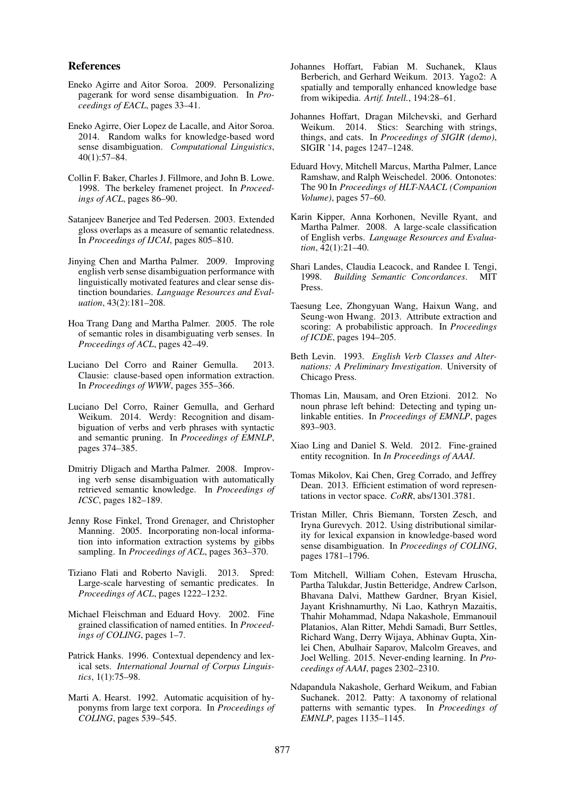#### References

- Eneko Agirre and Aitor Soroa. 2009. Personalizing pagerank for word sense disambiguation. In *Proceedings of EACL*, pages 33–41.
- Eneko Agirre, Oier Lopez de Lacalle, and Aitor Soroa. 2014. Random walks for knowledge-based word sense disambiguation. *Computational Linguistics*, 40(1):57–84.
- Collin F. Baker, Charles J. Fillmore, and John B. Lowe. 1998. The berkeley framenet project. In *Proceedings of ACL*, pages 86–90.
- Satanjeev Banerjee and Ted Pedersen. 2003. Extended gloss overlaps as a measure of semantic relatedness. In *Proceedings of IJCAI*, pages 805–810.
- Jinying Chen and Martha Palmer. 2009. Improving english verb sense disambiguation performance with linguistically motivated features and clear sense distinction boundaries. *Language Resources and Evaluation*, 43(2):181–208.
- Hoa Trang Dang and Martha Palmer. 2005. The role of semantic roles in disambiguating verb senses. In *Proceedings of ACL*, pages 42–49.
- Luciano Del Corro and Rainer Gemulla. 2013. Clausie: clause-based open information extraction. In *Proceedings of WWW*, pages 355–366.
- Luciano Del Corro, Rainer Gemulla, and Gerhard Weikum. 2014. Werdy: Recognition and disambiguation of verbs and verb phrases with syntactic and semantic pruning. In *Proceedings of EMNLP*, pages 374–385.
- Dmitriy Dligach and Martha Palmer. 2008. Improving verb sense disambiguation with automatically retrieved semantic knowledge. In *Proceedings of ICSC*, pages 182–189.
- Jenny Rose Finkel, Trond Grenager, and Christopher Manning. 2005. Incorporating non-local information into information extraction systems by gibbs sampling. In *Proceedings of ACL*, pages 363–370.
- Tiziano Flati and Roberto Navigli. 2013. Spred: Large-scale harvesting of semantic predicates. In *Proceedings of ACL*, pages 1222–1232.
- Michael Fleischman and Eduard Hovy. 2002. Fine grained classification of named entities. In *Proceedings of COLING*, pages 1–7.
- Patrick Hanks. 1996. Contextual dependency and lexical sets. *International Journal of Corpus Linguistics*, 1(1):75–98.
- Marti A. Hearst. 1992. Automatic acquisition of hyponyms from large text corpora. In *Proceedings of COLING*, pages 539–545.
- Johannes Hoffart, Fabian M. Suchanek, Klaus Berberich, and Gerhard Weikum. 2013. Yago2: A spatially and temporally enhanced knowledge base from wikipedia. *Artif. Intell.*, 194:28–61.
- Johannes Hoffart, Dragan Milchevski, and Gerhard Weikum. 2014. Stics: Searching with strings, things, and cats. In *Proceedings of SIGIR (demo)*, SIGIR '14, pages 1247–1248.
- Eduard Hovy, Mitchell Marcus, Martha Palmer, Lance Ramshaw, and Ralph Weischedel. 2006. Ontonotes: The 90 In *Proceedings of HLT-NAACL (Companion Volume)*, pages 57–60.
- Karin Kipper, Anna Korhonen, Neville Ryant, and Martha Palmer. 2008. A large-scale classification of English verbs. *Language Resources and Evaluation*, 42(1):21–40.
- Shari Landes, Claudia Leacock, and Randee I. Tengi, 1998. *Building Semantic Concordances*. MIT Press.
- Taesung Lee, Zhongyuan Wang, Haixun Wang, and Seung-won Hwang. 2013. Attribute extraction and scoring: A probabilistic approach. In *Proceedings of ICDE*, pages 194–205.
- Beth Levin. 1993. *English Verb Classes and Alternations: A Preliminary Investigation*. University of Chicago Press.
- Thomas Lin, Mausam, and Oren Etzioni. 2012. No noun phrase left behind: Detecting and typing unlinkable entities. In *Proceedings of EMNLP*, pages 893–903.
- Xiao Ling and Daniel S. Weld. 2012. Fine-grained entity recognition. In *In Proceedings of AAAI*.
- Tomas Mikolov, Kai Chen, Greg Corrado, and Jeffrey Dean. 2013. Efficient estimation of word representations in vector space. *CoRR*, abs/1301.3781.
- Tristan Miller, Chris Biemann, Torsten Zesch, and Iryna Gurevych. 2012. Using distributional similarity for lexical expansion in knowledge-based word sense disambiguation. In *Proceedings of COLING*, pages 1781–1796.
- Tom Mitchell, William Cohen, Estevam Hruscha, Partha Talukdar, Justin Betteridge, Andrew Carlson, Bhavana Dalvi, Matthew Gardner, Bryan Kisiel, Jayant Krishnamurthy, Ni Lao, Kathryn Mazaitis, Thahir Mohammad, Ndapa Nakashole, Emmanouil Platanios, Alan Ritter, Mehdi Samadi, Burr Settles, Richard Wang, Derry Wijaya, Abhinav Gupta, Xinlei Chen, Abulhair Saparov, Malcolm Greaves, and Joel Welling. 2015. Never-ending learning. In *Proceedings of AAAI*, pages 2302–2310.
- Ndapandula Nakashole, Gerhard Weikum, and Fabian Suchanek. 2012. Patty: A taxonomy of relational patterns with semantic types. In *Proceedings of EMNLP*, pages 1135–1145.